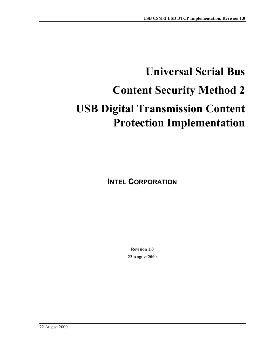# **Universal Serial Bus Content Security Method 2 USB Digital Transmission Content Protection Implementation**

**INTEL CORPORATION** 

**Revision 1.0 22 August 2000**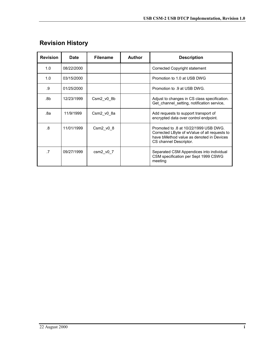| <b>Revision</b> | <b>Date</b> | <b>Filename</b>   | <b>Author</b> | <b>Description</b>                                                                                                                                          |
|-----------------|-------------|-------------------|---------------|-------------------------------------------------------------------------------------------------------------------------------------------------------------|
| 1.0             | 08/22/2000  |                   |               | Corrected Copyright statement                                                                                                                               |
| 1.0             | 03/15/2000  |                   |               | Promotion to 1.0 at USB DWG                                                                                                                                 |
| .9              | 01/25/2000  |                   |               | Promotion to .9 at USB DWG.                                                                                                                                 |
| .8b             | 12/23/1999  | Csm2 v0 8b        |               | Adjust to changes in CS class specification.<br>Get channel_setting, notification service,                                                                  |
| .8a             | 11/9/1999   | Csm2 v0 8a        |               | Add requests to support transport of<br>encrypted data over control endpoint.                                                                               |
| .8              | 11/01/1999  | Csm $2$ v $0$ $8$ |               | Promoted to .8 at 10/22/1999 USB DWG.<br>Corrected LByte of wValue of all requests to<br>have bMethod value as denoted in Devices<br>CS channel Descriptor. |
| .7              | 09/27/1999  | $csm2_v0_7$       |               | Separated CSM Appendices into individual<br>CSM specification per Sept 1999 CSWG<br>meeting                                                                 |

# <span id="page-1-0"></span>**Revision History**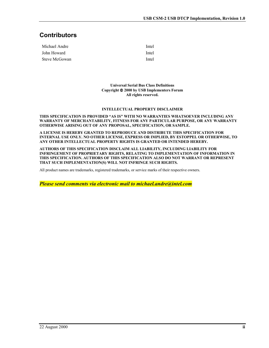## <span id="page-2-0"></span>**Contributors**

| Michael Andre | Intel |
|---------------|-------|
| John Howard   | Intel |
| Steve McGowan | Intel |

**Universal Serial Bus Class Definitions Copyright 2000 by USB Implementers Forum All rights reserved.** 

#### **INTELLECTUAL PROPERTY DISCLAIMER**

#### **THIS SPECIFICATION IS PROVIDED "AS IS" WITH NO WARRANTIES WHATSOEVER INCLUDING ANY WARRANTY OF MERCHANTABILITY, FITNESS FOR ANY PARTICULAR PURPOSE, OR ANY WARRANTY OTHERWISE ARISING OUT OF ANY PROPOSAL, SPECIFICATION, OR SAMPLE.**

**A LICENSE IS HEREBY GRANTED TO REPRODUCE AND DISTRIBUTE THIS SPECIFICATION FOR INTERNAL USE ONLY. NO OTHER LICENSE, EXPRESS OR IMPLIED, BY ESTOPPEL OR OTHERWISE, TO ANY OTHER INTELLECTUAL PROPERTY RIGHTS IS GRANTED OR INTENDED HEREBY.** 

**AUTHORS OF THIS SPECIFICATION DISCLAIM ALL LIABILITY, INCLUDING LIABILITY FOR INFRINGEMENT OF PROPRIETARY RIGHTS, RELATING TO IMPLEMENTATION OF INFORMATION IN THIS SPECIFICATION. AUTHORS OF THIS SPECIFICATION ALSO DO NOT WARRANT OR REPRESENT THAT SUCH IMPLEMENTATION(S) WILL NOT INFRINGE SUCH RIGHTS.** 

All product names are trademarks, registered trademarks, or service marks of their respective owners.

*Please send comments via electronic mail to michael.andre@intel.com*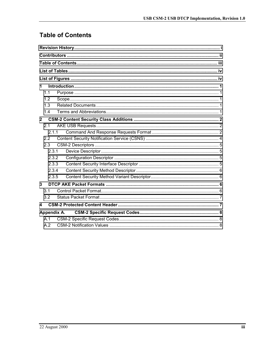# **Table of Contents**

| 1                |  |
|------------------|--|
| 11               |  |
| 1.2              |  |
| 1.3              |  |
| 1.4              |  |
| $\mathbf{2}$     |  |
| 2.1              |  |
| 2.1.1            |  |
| 2.2              |  |
| 2.3              |  |
| 2.3.1            |  |
| 2.3.2            |  |
| 2.3.3            |  |
| 2.3.4            |  |
| 2.3.5            |  |
| $\overline{3}$   |  |
| 3.1              |  |
| 3.2              |  |
| $\blacktriangle$ |  |
| Appendix A.      |  |
| A.1              |  |
| A.2              |  |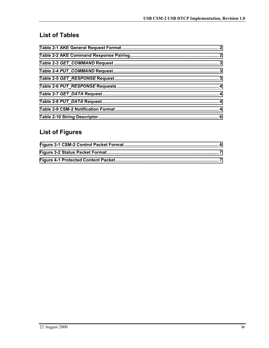## <span id="page-4-0"></span>**List of Tables**

# **List of Figures**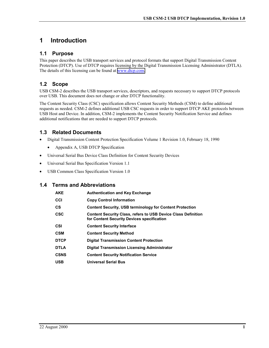## <span id="page-5-0"></span>**1 Introduction**

#### **1.1 Purpose**

This paper describes the USB transport services and protocol formats that support Digital Transmission Content Protection (DTCP). Use of DTCP requires licensing by the Digital Transmission Licensing Administrator (DTLA). The details of this licensing can be found at [www.dtcp.com.](http://www.dtcp.com/)

### **1.2 Scope**

USB CSM-2 describes the USB transport services, descriptors, and requests necessary to support DTCP protocols over USB. This document does not change or alter DTCP functionality.

The Content Security Class (CSC) specification allows Content Security Methods (CSM) to define additional requests as needed. CSM-2 defines additional USB CSC requests in order to support DTCP AKE protocols between USB Host and Device. In addition, CSM-2 implements the Content Security Notification Service and defines additional notifications that are needed to support DTCP protocols.

#### **1.3 Related Documents**

- Digital Transmission Content Protection Specification Volume 1 Revision 1.0, February 18, 1990
	- Appendix A, USB DTCP Specification
- Universal Serial Bus Device Class Definition for Content Security Devices
- Universal Serial Bus Specification Version 1.1
- USB Common Class Specification Version 1.0

#### **1.4 Terms and Abbreviations**

| AKE         | <b>Authentication and Key Exchange</b>                                                                             |
|-------------|--------------------------------------------------------------------------------------------------------------------|
| CCI         | <b>Copy Control Information</b>                                                                                    |
| CS          | <b>Content Security, USB terminology for Content Protection</b>                                                    |
| CSC         | <b>Content Security Class, refers to USB Device Class Definition</b><br>for Content Security Devices specification |
| CSI         | <b>Content Security Interface</b>                                                                                  |
| CSM         | <b>Content Security Method</b>                                                                                     |
| <b>DTCP</b> | <b>Digital Transmission Content Protection</b>                                                                     |
| <b>DTLA</b> | Digital Transmission Licensing Administrator                                                                       |
| <b>CSNS</b> | <b>Content Security Notification Service</b>                                                                       |
| <b>USB</b>  | <b>Universal Serial Bus</b>                                                                                        |
|             |                                                                                                                    |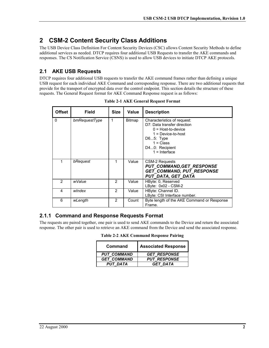## <span id="page-6-0"></span>**2 CSM-2 Content Security Class Additions**

The USB Device Class Definition For Content Security Devices (CSC) allows Content Security Methods to define additional services as needed. DTCP requires four additional USB Requests to transfer the AKE commands and responses. The CS Notification Service (CSNS) is used to allow USB devices to initiate DTCP AKE protocols.

## **2.1 AKE USB Requests**

DTCP requires four additional USB requests to transfer the AKE command frames rather than defining a unique USB request for each individual AKE Command and corresponding response. There are two additional requests that provide for the transport of encrypted data over the control endpoint. This section details the structure of these requests. The General Request format for AKE Command Response request is as follows:

| <b>Offset</b> | Field         | Size | Value  | <b>Description</b>                                                                                                                                                          |
|---------------|---------------|------|--------|-----------------------------------------------------------------------------------------------------------------------------------------------------------------------------|
| 0             | bmRequestType | 1    | Bitmap | Characteristics of request:<br>D7: Data transfer direction<br>$0 = Host-to-device$<br>$1 = Device-to-host$<br>D65: Type<br>$1 = Class$<br>D40: Recipient<br>$1 =$ Interface |
|               | bRequest      | 1    | Value  | <b>CSM-2 Requests</b><br><b>PUT COMMAND, GET_RESPONSE</b><br><b>GET COMMAND, PUT RESPONSE</b><br>PUT DATA, GET DATA                                                         |
| 2             | wValue        | 2    | Value  | HByte: 0, Reserved<br>LByte: 0x02 - CSM-2                                                                                                                                   |
| 4             | windex        | 2    | Value  | HByte: Channel ID.<br>LByte: CSI Interface number.                                                                                                                          |
| 6             | wLength       | 2    | Count  | Byte length of the AKE Command or Response<br>Frame.                                                                                                                        |

**Table 2-1 AKE General Request Format** 

#### **2.1.1 Command and Response Requests Format**

The requests are paired together, one pair is used to send AKE commands to the Device and return the associated response. The other pair is used to retrieve an AKE command from the Device and send the associated response.

**Table 2-2 AKE Command Response Pairing** 

| Command            | <b>Associated Response</b> |
|--------------------|----------------------------|
| <b>PUT COMMAND</b> | <b>GET RESPONSE</b>        |
| <b>GET COMMAND</b> | <b>PUT RESPONSE</b>        |
| <b>PUT DATA</b>    | <b>GET DATA</b>            |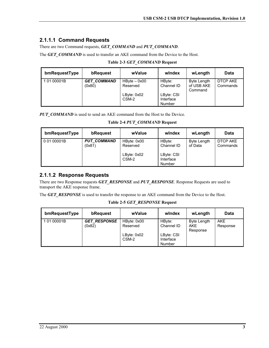#### <span id="page-7-0"></span>**2.1.1.1 Command Requests**

There are two Command requests, *GET\_COMMAND* and *PUT\_COMMAND*.

The **GET\_COMMAND** is used to transfer an AKE command from the Device to the Host.

| bmRequestType | bRequest                     | wValue                     | windex                            | wLength                              | Data                 |
|---------------|------------------------------|----------------------------|-----------------------------------|--------------------------------------|----------------------|
| 1 01 00001B   | <b>GET COMMAND</b><br>(0x80) | $HBvte - 0x00$<br>Reserved | HBvte:<br>Channel ID              | Byte Length<br>of USB AKE<br>Command | DTCP AKE<br>Commands |
|               |                              | LByte: 0x02<br>CSM-2       | LByte: CSI<br>Interface<br>Number |                                      |                      |

**Table 2-3** *GET\_COMMAND* **Request** 

*PUT\_COMMAND* is used to send an AKE command from the Host to the Device.

**Table 2-4** *PUT\_COMMAND* **Request** 

| bmRequestType | bRequest                     | wValue                                          | windex                                                    | wLength                | Data                 |
|---------------|------------------------------|-------------------------------------------------|-----------------------------------------------------------|------------------------|----------------------|
| 0 01 00001B   | <b>PUT COMMAND</b><br>(0x81) | HByte: 0x00<br>Reserved<br>LByte: 0x02<br>CSM-2 | HByte:<br>Channel ID<br>LByte: CSI<br>Interface<br>Number | Byte Length<br>of Data | DTCP AKE<br>Commands |

#### **2.1.1.2 Response Requests**

There are two Response requests *GET\_RESPONSE* and *PUT\_RESPONSE*. Response Requests are used to transport the AKE response frame.

The **GET\_RESPONSE** is used to transfer the response to an AKE command from the Device to the Host.

**Table 2-5** *GET\_RESPONSE* **Request** 

| bmRequestType | bRequest                      | wValue                  | windex                            | wLength                        | Data                   |
|---------------|-------------------------------|-------------------------|-----------------------------------|--------------------------------|------------------------|
| 10100001B     | <b>GET RESPONSE</b><br>(0x82) | HByte: 0x00<br>Reserved | HBvte:<br>Channel ID              | Byte Length<br>AKE<br>Response | <b>AKE</b><br>Response |
|               |                               | LByte: 0x02<br>CSM-2    | LByte: CSI<br>Interface<br>Number |                                |                        |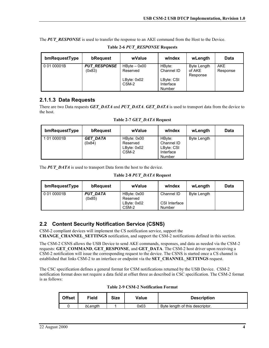<span id="page-8-0"></span>The **PUT\_RESPONSE** is used to transfer the response to an AKE command from the Host to the Device.

| bmRequestType | bRequest                      | wValue                     | windex                            | wLength                                  | Data                   |
|---------------|-------------------------------|----------------------------|-----------------------------------|------------------------------------------|------------------------|
| 0 01 00001B   | <b>PUT RESPONSE</b><br>(0x83) | $HBvte - 0x00$<br>Reserved | HBvte:<br>Channel ID              | <b>Byte Length</b><br>of AKE<br>Response | <b>AKE</b><br>Response |
|               |                               | LByte: 0x02<br>CSM-2       | LByte: CSI<br>Interface<br>Number |                                          |                        |

**Table 2-6** *PUT\_RESPONSE* **Requests** 

#### **2.1.1.3 Data Requests**

There are two Data requests *GET\_DATA* and *PUT\_DATA*. *GET\_DATA* is used to transport data from the device to the host.

| bmRequestType | bRequest                  | wValue                                          | windex                                                    | wLength            | <b>Data</b> |
|---------------|---------------------------|-------------------------------------------------|-----------------------------------------------------------|--------------------|-------------|
| 10100001B     | <b>GET DATA</b><br>(0x84) | HByte: 0x00<br>Reserved<br>LByte: 0x02<br>CSM-2 | HBvte:<br>Channel ID<br>LByte: CSI<br>Interface<br>Number | <b>Byte Length</b> |             |

**Table 2-7** *GET\_DATA* **Request** 

The **PUT\_DATA** is used to transport Data form the host to the device.

**Table 2-8** *PUT\_DATA* **Request** 

| bmRequestType | bRequest                  | wValue                  | windex                  | wLength            | <b>Data</b> |
|---------------|---------------------------|-------------------------|-------------------------|--------------------|-------------|
| 0 01 00001B   | <b>PUT DATA</b><br>(0x85) | HByte: 0x00<br>Reserved | Channel ID              | <b>Byte Length</b> |             |
|               |                           | LByte: 0x02<br>CSM-2    | CSI Interface<br>Number |                    |             |

#### **2.2 Content Security Notification Service (CSNS)**

CSM-2 compliant devices will implement the CS notification service, support the **CHANGE\_CHANNEL\_SETTINGS** notification, and support the CSM-2 notifications defined in this section.

The CSM-2 CSNS allows the USB Device to send AKE commands, responses, and data as needed via the CSM-2 requests: **GET\_COMMAND**, **GET\_RESPONSE**, and **GET\_DATA**. The CSM-2 host driver upon receiving a CSM-2 notification will issue the corresponding request to the device. The CSNS is started once a CS channel is established that links CSM-2 to an interface or endpoint via the **SET\_CHANNEL\_SETTINGS** request.

The CSC specification defines a general format for CSM notifications returned by the USB Device. CSM-2 notification format does not require a data field at offset three as described in CSC specification. The CSM-2 format is as follows:

|  | Table 2-9 CSM-2 Notification Format |  |
|--|-------------------------------------|--|
|  |                                     |  |

| <b>Offset</b> | Field   | <b>Size</b> | Value | <b>Description</b>              |
|---------------|---------|-------------|-------|---------------------------------|
|               | bLenath |             | 0x03  | Byte length of this descriptor. |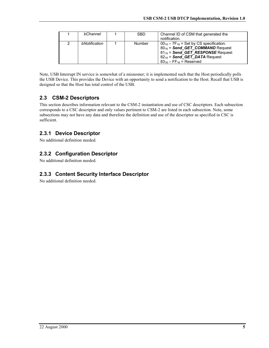<span id="page-9-0"></span>

|   | bChannel      | <b>SBD</b> | Channel ID of CSM that generated the<br>notification.                                                                                                                                                  |
|---|---------------|------------|--------------------------------------------------------------------------------------------------------------------------------------------------------------------------------------------------------|
| 2 | bNotification | Number     | $00_{16} - 7F_{16} =$ Set by CS specification.<br>$80_{16}$ = Send GET COMMAND Request<br>$81_{16}$ = Send GET RESPONSE Request<br>$82_{16}$ = Send GET DATA Request<br>$83_{16} - FF_{16} =$ Reserved |

Note, USB Interrupt IN service is somewhat of a misnomer; it is implemented such that the Host periodically polls the USB Device. This provides the Device with an opportunity to send a notification to the Host. Recall that USB is designed so that the Host has total control of the USB.

### **2.3 CSM-2 Descriptors**

This section describes information relevant to the CSM-2 instantiation and use of CSC descriptors. Each subsection corresponds to a CSC descriptor and only values pertinent to CSM-2 are listed in each subsection. Note, some subsections may not have any data and therefore the definition and use of the descriptor as specified in CSC is sufficient.

#### **2.3.1 Device Descriptor**

No additional definition needed.

#### **2.3.2 Configuration Descriptor**

No additional definition needed.

#### **2.3.3 Content Security Interface Descriptor**

No additional definition needed.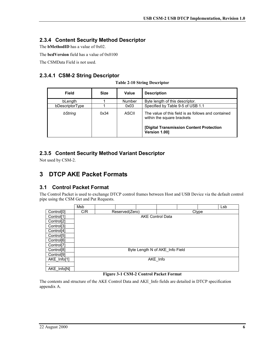#### <span id="page-10-0"></span>**2.3.4 Content Security Method Descriptor**

The **bMethodID** has a value of 0x02.

The **bcdVersion** field has a value of 0x0100

The CSMData Field is not used.

#### **2.3.4.1 CSM-2 String Descriptor**

| Field           | <b>Size</b> | Value  | <b>Description</b>                                                                |
|-----------------|-------------|--------|-----------------------------------------------------------------------------------|
| bLength         |             | Number | Byte length of this descriptor.                                                   |
| bDescriptorType |             | 0x03   | Specified by Table 9-5 of USB 1.1                                                 |
| bString         | 0x34        | ASCII  | The value of this field is as follows and contained<br>within the square brackets |
|                 |             |        | [Digital Transmission Content Protection]<br>Version 1.001                        |

#### **2.3.5 Content Security Method Variant Descriptor**

Not used by CSM-2.

## **3 DTCP AKE Packet Formats**

#### **3.1 Control Packet Format**

The Control Packet is used to exchange DTCP control frames between Host and USB Device via the default control pipe using the CSM Get and Put Requests.

|                        | Msb |                |                                 |       |  |  | Lsb |
|------------------------|-----|----------------|---------------------------------|-------|--|--|-----|
| Control <sup>[0]</sup> | C/R | Reserved(Zero) |                                 | Ctype |  |  |     |
| Control <sup>[1]</sup> |     |                | <b>AKE Control Data</b>         |       |  |  |     |
| Control <sup>[2]</sup> |     |                |                                 |       |  |  |     |
| Control <sup>[3]</sup> |     |                |                                 |       |  |  |     |
| Control <sup>[4]</sup> |     |                |                                 |       |  |  |     |
| Control <sup>[5]</sup> |     |                |                                 |       |  |  |     |
| Control <sup>[6]</sup> |     |                |                                 |       |  |  |     |
| Control <sup>[7]</sup> |     |                |                                 |       |  |  |     |
| Control <sup>[8]</sup> |     |                | Byte Length N of AKE Info Field |       |  |  |     |
| Control <sup>[9]</sup> |     |                |                                 |       |  |  |     |
| AKE Info[1]            |     |                | AKE_Info                        |       |  |  |     |
|                        |     |                |                                 |       |  |  |     |
| AKE Info[N]            |     |                |                                 |       |  |  |     |

#### **Figure 3-1 CSM-2 Control Packet Format**

The contents and structure of the AKE Control Data and AKE\_Info fields are detailed in DTCP specification appendix A.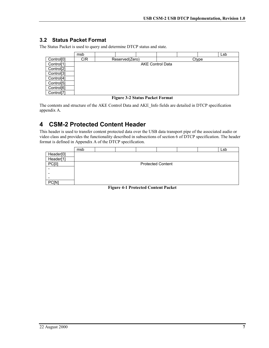#### <span id="page-11-0"></span>**3.2 Status Packet Format**

The Status Packet is used to query and determine DTCP status and state.

|                        | msb |  |                |                         |       |  |  | Lsb |
|------------------------|-----|--|----------------|-------------------------|-------|--|--|-----|
| Control <sup>[0]</sup> | C/R |  | Reserved(Zero) |                         | Ctype |  |  |     |
| Control <sup>[1]</sup> |     |  |                | <b>AKE Control Data</b> |       |  |  |     |
| Control <sup>[2]</sup> |     |  |                |                         |       |  |  |     |
| Control <sup>[3]</sup> |     |  |                |                         |       |  |  |     |
| Control <sup>[4]</sup> |     |  |                |                         |       |  |  |     |
| Control <sup>[5]</sup> |     |  |                |                         |       |  |  |     |
| Control <sup>[6]</sup> |     |  |                |                         |       |  |  |     |
| Control <sup>[7]</sup> |     |  |                |                         |       |  |  |     |

#### **Figure 3-2 Status Packet Format**

The contents and structure of the AKE Control Data and AKE\_Info fields are detailed in DTCP specification appendix A.

## **4 CSM-2 Protected Content Header**

This header is used to transfer content protected data over the USB data transport pipe of the associated audio or video class and provides the functionality described in subsections of section 6 of DTCP specification. The header format is defined in Appendix A of the DTCP specification.

|           | msb |  |                          |  | Lsb |
|-----------|-----|--|--------------------------|--|-----|
| Header[0] |     |  |                          |  |     |
| Header[1] |     |  |                          |  |     |
| PC[0]     |     |  | <b>Protected Content</b> |  |     |
|           |     |  |                          |  |     |
|           |     |  |                          |  |     |
| -         |     |  |                          |  |     |
| PC[N]     |     |  |                          |  |     |

**Figure 4-1 Protected Content Packet**